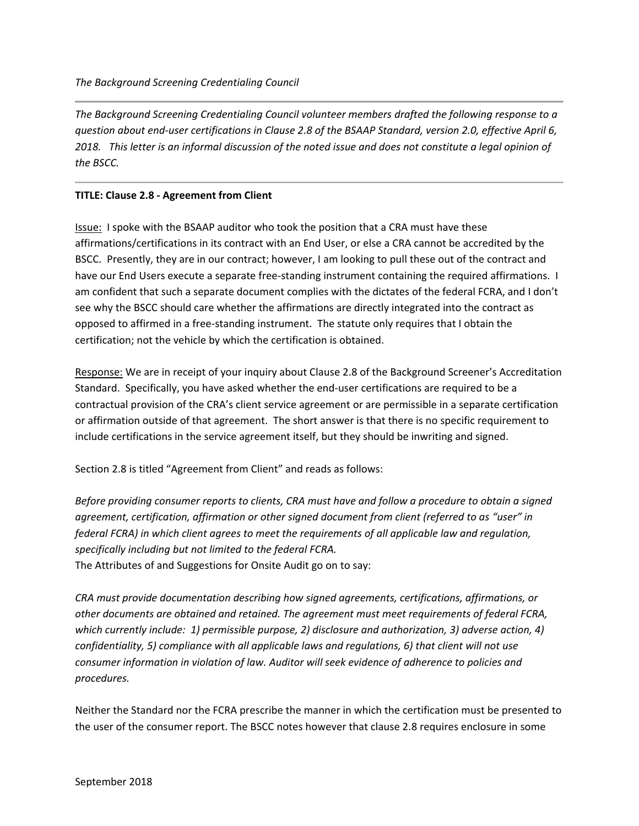*The Background Screening Credentialing Council volunteer members drafted the following response to a question about end-user certifications in Clause 2.8 of the BSAAP Standard, version 2.0, effective April 6, 2018. This letter is an informal discussion of the noted issue and does not constitute a legal opinion of the BSCC.*

## **TITLE: Clause 2.8 - Agreement from Client**

Issue: I spoke with the BSAAP auditor who took the position that a CRA must have these affirmations/certifications in its contract with an End User, or else a CRA cannot be accredited by the BSCC. Presently, they are in our contract; however, I am looking to pull these out of the contract and have our End Users execute a separate free-standing instrument containing the required affirmations. I am confident that such a separate document complies with the dictates of the federal FCRA, and I don't see why the BSCC should care whether the affirmations are directly integrated into the contract as opposed to affirmed in a free-standing instrument. The statute only requires that I obtain the certification; not the vehicle by which the certification is obtained.

Response: We are in receipt of your inquiry about Clause 2.8 of the Background Screener's Accreditation Standard. Specifically, you have asked whether the end-user certifications are required to be a contractual provision of the CRA's client service agreement or are permissible in a separate certification or affirmation outside of that agreement. The short answer is that there is no specific requirement to include certifications in the service agreement itself, but they should be inwriting and signed.

Section 2.8 is titled "Agreement from Client" and reads as follows:

*Before providing consumer reports to clients, CRA must have and follow a procedure to obtain a signed agreement, certification, affirmation or other signed document from client (referred to as "user" in federal FCRA) in which client agrees to meet the requirements of all applicable law and regulation, specifically including but not limited to the federal FCRA.* The Attributes of and Suggestions for Onsite Audit go on to say:

*CRA must provide documentation describing how signed agreements, certifications, affirmations, or other documents are obtained and retained. The agreement must meet requirements of federal FCRA, which currently include: 1) permissible purpose, 2) disclosure and authorization, 3) adverse action, 4) confidentiality, 5) compliance with all applicable laws and regulations, 6) that client will not use consumer information in violation of law. Auditor will seek evidence of adherence to policies and procedures.* 

Neither the Standard nor the FCRA prescribe the manner in which the certification must be presented to the user of the consumer report. The BSCC notes however that clause 2.8 requires enclosure in some